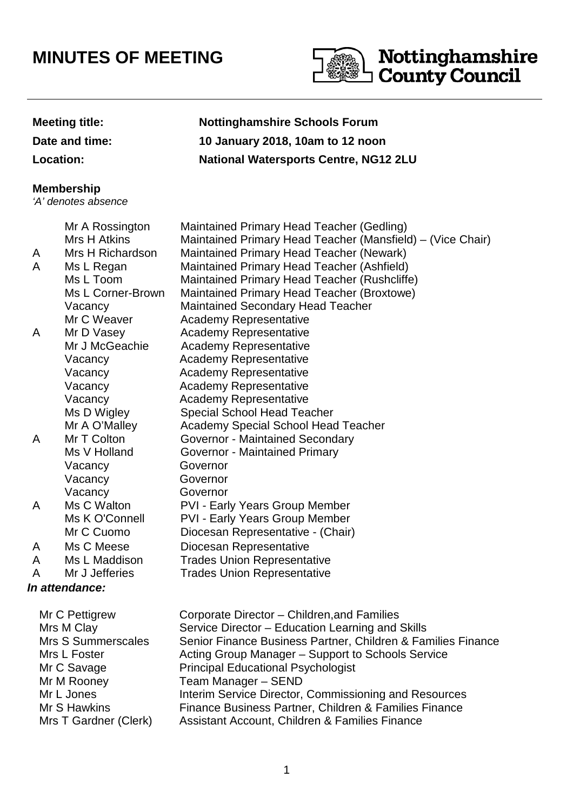# **MINUTES OF MEETING**



# **Meeting title: Nottinghamshire Schools Forum**

**Date and time: 10 January 2018, 10am to 12 noon**

**Location: National Watersports Centre, NG12 2LU**

### **Membership**

Mr L Jones

Mr S Hawkins

'A' denotes absence

#### **In attendance:**  Mr C Pettigrew Mrs M Clay Corporate Director – Children,and Families Service Director – Education Learning and Skills Mrs S Summerscales Senior Finance Business Partner, Children & Families Finance Mrs L Foster Mr C Savage Mr M Rooney Acting Group Manager – Support to Schools Service Principal Educational Psychologist Team Manager – SEND Mr A Rossington Maintained Primary Head Teacher (Gedling) Mrs H Atkins Maintained Primary Head Teacher (Mansfield) – (Vice Chair) A Mrs H Richardson Maintained Primary Head Teacher (Newark) A Ms L Regan Maintained Primary Head Teacher (Ashfield) Ms L Toom Maintained Primary Head Teacher (Rushcliffe) Ms L Corner-Brown Maintained Primary Head Teacher (Broxtowe) Vacancy Maintained Secondary Head Teacher Mr C Weaver **Academy Representative** A Mr D Vasey **Academy Representative** Mr J McGeachie Academy Representative Vacancy Academy Representative Vacancy Academy Representative Vacancy Academy Representative Vacancy Academy Representative Ms D Wigley Special School Head Teacher Mr A O'Malley Academy Special School Head Teacher A Mr T Colton Governor - Maintained Secondary Ms V Holland Governor - Maintained Primary Vacancy Governor Vacancy Governor Vacancy Governor A Ms C Walton PVI - Early Years Group Member Ms K O'Connell PVI - Early Years Group Member Mr C Cuomo Diocesan Representative - (Chair) A Ms C Meese Diocesan Representative A Ms L Maddison Trades Union Representative A Mr J Jefferies Trades Union Representative

Interim Service Director, Commissioning and Resources Mrs T Gardner (Clerk) Finance Business Partner, Children & Families Finance Assistant Account, Children & Families Finance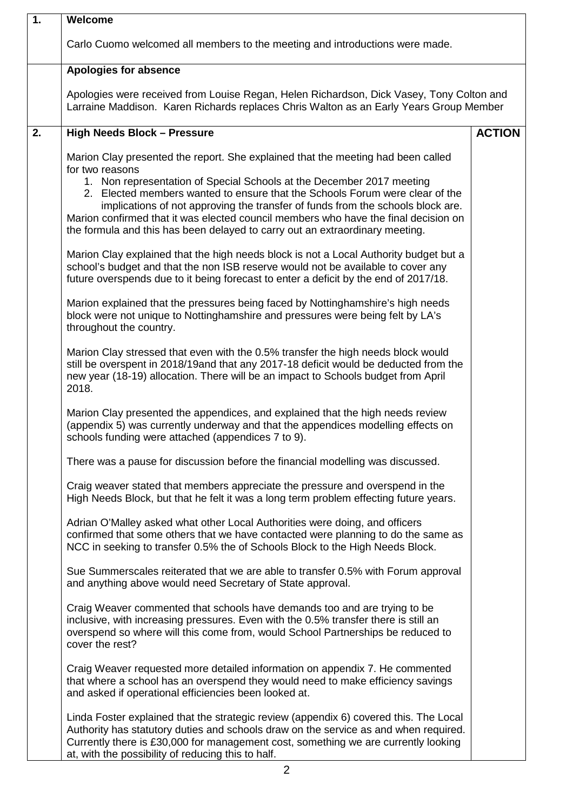| 1. | Welcome                                                                                                                                                                                                                                                                                                                                                                                                                                                                                                                |  |
|----|------------------------------------------------------------------------------------------------------------------------------------------------------------------------------------------------------------------------------------------------------------------------------------------------------------------------------------------------------------------------------------------------------------------------------------------------------------------------------------------------------------------------|--|
|    | Carlo Cuomo welcomed all members to the meeting and introductions were made.                                                                                                                                                                                                                                                                                                                                                                                                                                           |  |
|    | <b>Apologies for absence</b>                                                                                                                                                                                                                                                                                                                                                                                                                                                                                           |  |
|    | Apologies were received from Louise Regan, Helen Richardson, Dick Vasey, Tony Colton and<br>Larraine Maddison. Karen Richards replaces Chris Walton as an Early Years Group Member                                                                                                                                                                                                                                                                                                                                     |  |
| 2. | <b>High Needs Block - Pressure</b>                                                                                                                                                                                                                                                                                                                                                                                                                                                                                     |  |
|    | Marion Clay presented the report. She explained that the meeting had been called<br>for two reasons<br>1. Non representation of Special Schools at the December 2017 meeting<br>2. Elected members wanted to ensure that the Schools Forum were clear of the<br>implications of not approving the transfer of funds from the schools block are.<br>Marion confirmed that it was elected council members who have the final decision on<br>the formula and this has been delayed to carry out an extraordinary meeting. |  |
|    | Marion Clay explained that the high needs block is not a Local Authority budget but a<br>school's budget and that the non ISB reserve would not be available to cover any<br>future overspends due to it being forecast to enter a deficit by the end of 2017/18.                                                                                                                                                                                                                                                      |  |
|    | Marion explained that the pressures being faced by Nottinghamshire's high needs<br>block were not unique to Nottinghamshire and pressures were being felt by LA's<br>throughout the country.                                                                                                                                                                                                                                                                                                                           |  |
|    | Marion Clay stressed that even with the 0.5% transfer the high needs block would<br>still be overspent in 2018/19and that any 2017-18 deficit would be deducted from the<br>new year (18-19) allocation. There will be an impact to Schools budget from April<br>2018.                                                                                                                                                                                                                                                 |  |
|    | Marion Clay presented the appendices, and explained that the high needs review<br>(appendix 5) was currently underway and that the appendices modelling effects on<br>schools funding were attached (appendices 7 to 9).                                                                                                                                                                                                                                                                                               |  |
|    | There was a pause for discussion before the financial modelling was discussed.                                                                                                                                                                                                                                                                                                                                                                                                                                         |  |
|    | Craig weaver stated that members appreciate the pressure and overspend in the<br>High Needs Block, but that he felt it was a long term problem effecting future years.                                                                                                                                                                                                                                                                                                                                                 |  |
|    | Adrian O'Malley asked what other Local Authorities were doing, and officers<br>confirmed that some others that we have contacted were planning to do the same as<br>NCC in seeking to transfer 0.5% the of Schools Block to the High Needs Block.                                                                                                                                                                                                                                                                      |  |
|    | Sue Summerscales reiterated that we are able to transfer 0.5% with Forum approval<br>and anything above would need Secretary of State approval.                                                                                                                                                                                                                                                                                                                                                                        |  |
|    | Craig Weaver commented that schools have demands too and are trying to be<br>inclusive, with increasing pressures. Even with the 0.5% transfer there is still an<br>overspend so where will this come from, would School Partnerships be reduced to<br>cover the rest?                                                                                                                                                                                                                                                 |  |
|    | Craig Weaver requested more detailed information on appendix 7. He commented<br>that where a school has an overspend they would need to make efficiency savings<br>and asked if operational efficiencies been looked at.                                                                                                                                                                                                                                                                                               |  |
|    | Linda Foster explained that the strategic review (appendix 6) covered this. The Local<br>Authority has statutory duties and schools draw on the service as and when required.<br>Currently there is £30,000 for management cost, something we are currently looking<br>at, with the possibility of reducing this to half.                                                                                                                                                                                              |  |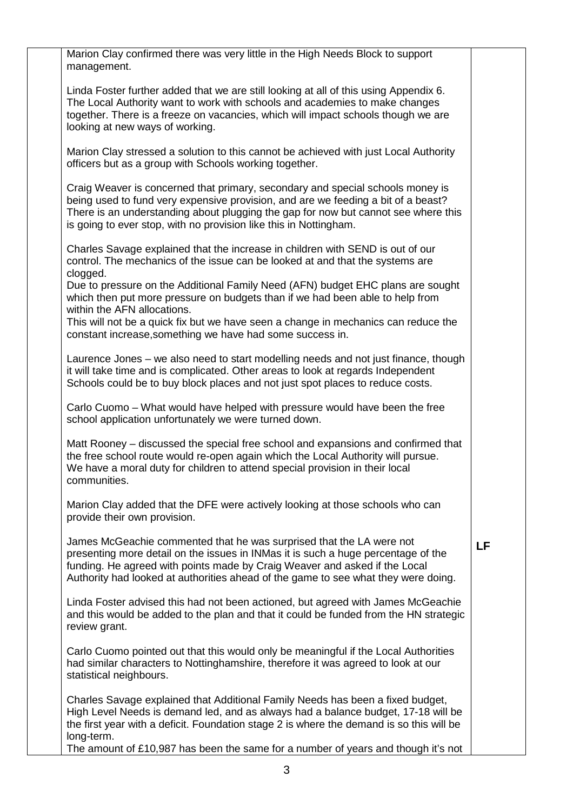| Marion Clay confirmed there was very little in the High Needs Block to support<br>management.                                                                                                                                                                                                                                  |    |
|--------------------------------------------------------------------------------------------------------------------------------------------------------------------------------------------------------------------------------------------------------------------------------------------------------------------------------|----|
| Linda Foster further added that we are still looking at all of this using Appendix 6.<br>The Local Authority want to work with schools and academies to make changes<br>together. There is a freeze on vacancies, which will impact schools though we are<br>looking at new ways of working.                                   |    |
| Marion Clay stressed a solution to this cannot be achieved with just Local Authority<br>officers but as a group with Schools working together.                                                                                                                                                                                 |    |
| Craig Weaver is concerned that primary, secondary and special schools money is<br>being used to fund very expensive provision, and are we feeding a bit of a beast?<br>There is an understanding about plugging the gap for now but cannot see where this<br>is going to ever stop, with no provision like this in Nottingham. |    |
| Charles Savage explained that the increase in children with SEND is out of our<br>control. The mechanics of the issue can be looked at and that the systems are<br>clogged.                                                                                                                                                    |    |
| Due to pressure on the Additional Family Need (AFN) budget EHC plans are sought<br>which then put more pressure on budgets than if we had been able to help from<br>within the AFN allocations.                                                                                                                                |    |
| This will not be a quick fix but we have seen a change in mechanics can reduce the<br>constant increase, something we have had some success in.                                                                                                                                                                                |    |
| Laurence Jones - we also need to start modelling needs and not just finance, though<br>it will take time and is complicated. Other areas to look at regards Independent<br>Schools could be to buy block places and not just spot places to reduce costs.                                                                      |    |
| Carlo Cuomo – What would have helped with pressure would have been the free<br>school application unfortunately we were turned down.                                                                                                                                                                                           |    |
| Matt Rooney – discussed the special free school and expansions and confirmed that<br>the free school route would re-open again which the Local Authority will pursue.<br>We have a moral duty for children to attend special provision in their local<br>communities.                                                          |    |
| Marion Clay added that the DFE were actively looking at those schools who can<br>provide their own provision.                                                                                                                                                                                                                  |    |
| James McGeachie commented that he was surprised that the LA were not<br>presenting more detail on the issues in INMas it is such a huge percentage of the<br>funding. He agreed with points made by Craig Weaver and asked if the Local<br>Authority had looked at authorities ahead of the game to see what they were doing.  | LF |
| Linda Foster advised this had not been actioned, but agreed with James McGeachie<br>and this would be added to the plan and that it could be funded from the HN strategic<br>review grant.                                                                                                                                     |    |
| Carlo Cuomo pointed out that this would only be meaningful if the Local Authorities<br>had similar characters to Nottinghamshire, therefore it was agreed to look at our<br>statistical neighbours.                                                                                                                            |    |
| Charles Savage explained that Additional Family Needs has been a fixed budget,<br>High Level Needs is demand led, and as always had a balance budget, 17-18 will be<br>the first year with a deficit. Foundation stage 2 is where the demand is so this will be<br>long-term.                                                  |    |
| The amount of £10,987 has been the same for a number of years and though it's not                                                                                                                                                                                                                                              |    |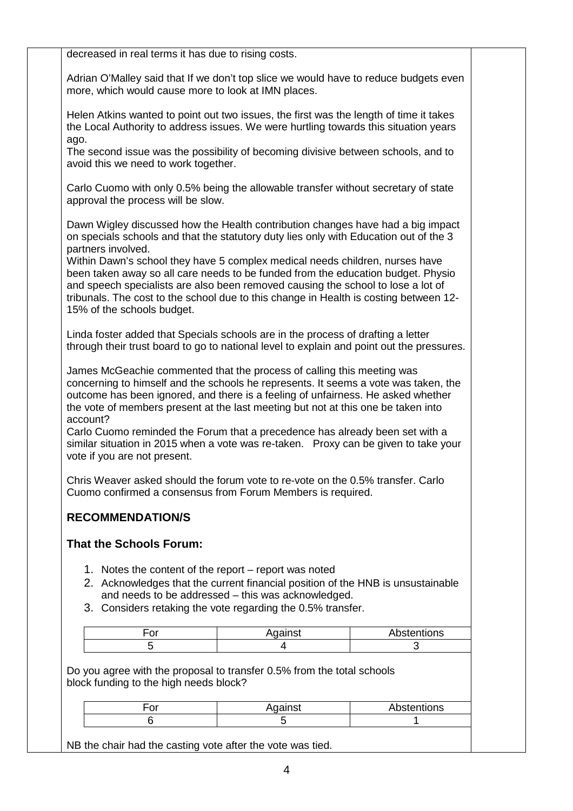decreased in real terms it has due to rising costs.

Adrian O'Malley said that If we don't top slice we would have to reduce budgets even more, which would cause more to look at IMN places.

Helen Atkins wanted to point out two issues, the first was the length of time it takes the Local Authority to address issues. We were hurtling towards this situation years ago.

The second issue was the possibility of becoming divisive between schools, and to avoid this we need to work together.

Carlo Cuomo with only 0.5% being the allowable transfer without secretary of state approval the process will be slow.

Dawn Wigley discussed how the Health contribution changes have had a big impact on specials schools and that the statutory duty lies only with Education out of the 3 partners involved.

Within Dawn's school they have 5 complex medical needs children, nurses have been taken away so all care needs to be funded from the education budget. Physio and speech specialists are also been removed causing the school to lose a lot of tribunals. The cost to the school due to this change in Health is costing between 12- 15% of the schools budget.

Linda foster added that Specials schools are in the process of drafting a letter through their trust board to go to national level to explain and point out the pressures.

James McGeachie commented that the process of calling this meeting was concerning to himself and the schools he represents. It seems a vote was taken, the outcome has been ignored, and there is a feeling of unfairness. He asked whether the vote of members present at the last meeting but not at this one be taken into account?

Carlo Cuomo reminded the Forum that a precedence has already been set with a similar situation in 2015 when a vote was re-taken. Proxy can be given to take your vote if you are not present.

Chris Weaver asked should the forum vote to re-vote on the 0.5% transfer. Carlo Cuomo confirmed a consensus from Forum Members is required.

# **RECOMMENDATION/S**

## **That the Schools Forum:**

- 1. Notes the content of the report report was noted
- 2. Acknowledges that the current financial position of the HNB is unsustainable and needs to be addressed – this was acknowledged.
- 3. Considers retaking the vote regarding the 0.5% transfer.

| - - | qainst | Abstentions |
|-----|--------|-------------|
|     |        |             |

Do you agree with the proposal to transfer 0.5% from the total schools block funding to the high needs block?

| - - | aninot<br>nyallist | Abstentions<br><b>AU-</b> |
|-----|--------------------|---------------------------|
|     |                    |                           |
|     |                    |                           |

NB the chair had the casting vote after the vote was tied.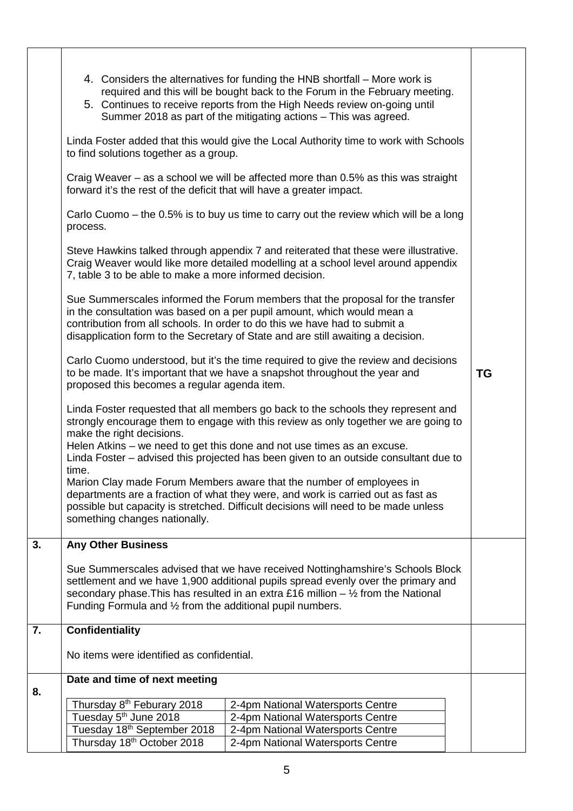|                  | 4. Considers the alternatives for funding the HNB shortfall – More work is<br>required and this will be bought back to the Forum in the February meeting.<br>5. Continues to receive reports from the High Needs review on-going until<br>Summer 2018 as part of the mitigating actions - This was agreed.<br>Linda Foster added that this would give the Local Authority time to work with Schools<br>to find solutions together as a group.<br>Craig Weaver – as a school we will be affected more than 0.5% as this was straight<br>forward it's the rest of the deficit that will have a greater impact.<br>Carlo Cuomo – the 0.5% is to buy us time to carry out the review which will be a long<br>process.<br>Steve Hawkins talked through appendix 7 and reiterated that these were illustrative.<br>Craig Weaver would like more detailed modelling at a school level around appendix<br>7, table 3 to be able to make a more informed decision.<br>Sue Summerscales informed the Forum members that the proposal for the transfer<br>in the consultation was based on a per pupil amount, which would mean a<br>contribution from all schools. In order to do this we have had to submit a<br>disapplication form to the Secretary of State and are still awaiting a decision.<br>Carlo Cuomo understood, but it's the time required to give the review and decisions<br>to be made. It's important that we have a snapshot throughout the year and<br>proposed this becomes a regular agenda item.<br>Linda Foster requested that all members go back to the schools they represent and<br>strongly encourage them to engage with this review as only together we are going to<br>make the right decisions.<br>Helen Atkins – we need to get this done and not use times as an excuse.<br>Linda Foster – advised this projected has been given to an outside consultant due to<br>time.<br>Marion Clay made Forum Members aware that the number of employees in<br>departments are a fraction of what they were, and work is carried out as fast as |                                                                                     | <b>TG</b> |
|------------------|----------------------------------------------------------------------------------------------------------------------------------------------------------------------------------------------------------------------------------------------------------------------------------------------------------------------------------------------------------------------------------------------------------------------------------------------------------------------------------------------------------------------------------------------------------------------------------------------------------------------------------------------------------------------------------------------------------------------------------------------------------------------------------------------------------------------------------------------------------------------------------------------------------------------------------------------------------------------------------------------------------------------------------------------------------------------------------------------------------------------------------------------------------------------------------------------------------------------------------------------------------------------------------------------------------------------------------------------------------------------------------------------------------------------------------------------------------------------------------------------------------------------------------------------------------------------------------------------------------------------------------------------------------------------------------------------------------------------------------------------------------------------------------------------------------------------------------------------------------------------------------------------------------------------------------------------------------------------------------------------------------------------------------------------------------------|-------------------------------------------------------------------------------------|-----------|
|                  | something changes nationally.                                                                                                                                                                                                                                                                                                                                                                                                                                                                                                                                                                                                                                                                                                                                                                                                                                                                                                                                                                                                                                                                                                                                                                                                                                                                                                                                                                                                                                                                                                                                                                                                                                                                                                                                                                                                                                                                                                                                                                                                                                  | possible but capacity is stretched. Difficult decisions will need to be made unless |           |
| 3.               | <b>Any Other Business</b>                                                                                                                                                                                                                                                                                                                                                                                                                                                                                                                                                                                                                                                                                                                                                                                                                                                                                                                                                                                                                                                                                                                                                                                                                                                                                                                                                                                                                                                                                                                                                                                                                                                                                                                                                                                                                                                                                                                                                                                                                                      |                                                                                     |           |
|                  | Sue Summerscales advised that we have received Nottinghamshire's Schools Block<br>settlement and we have 1,900 additional pupils spread evenly over the primary and<br>secondary phase. This has resulted in an extra £16 million $-$ 1/2 from the National<br>Funding Formula and 1/2 from the additional pupil numbers.                                                                                                                                                                                                                                                                                                                                                                                                                                                                                                                                                                                                                                                                                                                                                                                                                                                                                                                                                                                                                                                                                                                                                                                                                                                                                                                                                                                                                                                                                                                                                                                                                                                                                                                                      |                                                                                     |           |
| $\overline{7}$ . | <b>Confidentiality</b>                                                                                                                                                                                                                                                                                                                                                                                                                                                                                                                                                                                                                                                                                                                                                                                                                                                                                                                                                                                                                                                                                                                                                                                                                                                                                                                                                                                                                                                                                                                                                                                                                                                                                                                                                                                                                                                                                                                                                                                                                                         |                                                                                     |           |
|                  | No items were identified as confidential.                                                                                                                                                                                                                                                                                                                                                                                                                                                                                                                                                                                                                                                                                                                                                                                                                                                                                                                                                                                                                                                                                                                                                                                                                                                                                                                                                                                                                                                                                                                                                                                                                                                                                                                                                                                                                                                                                                                                                                                                                      |                                                                                     |           |
|                  | Date and time of next meeting                                                                                                                                                                                                                                                                                                                                                                                                                                                                                                                                                                                                                                                                                                                                                                                                                                                                                                                                                                                                                                                                                                                                                                                                                                                                                                                                                                                                                                                                                                                                                                                                                                                                                                                                                                                                                                                                                                                                                                                                                                  |                                                                                     |           |
| 8.               |                                                                                                                                                                                                                                                                                                                                                                                                                                                                                                                                                                                                                                                                                                                                                                                                                                                                                                                                                                                                                                                                                                                                                                                                                                                                                                                                                                                                                                                                                                                                                                                                                                                                                                                                                                                                                                                                                                                                                                                                                                                                |                                                                                     |           |
|                  | Thursday 8 <sup>th</sup> Feburary 2018<br>Tuesday 5 <sup>th</sup> June 2018                                                                                                                                                                                                                                                                                                                                                                                                                                                                                                                                                                                                                                                                                                                                                                                                                                                                                                                                                                                                                                                                                                                                                                                                                                                                                                                                                                                                                                                                                                                                                                                                                                                                                                                                                                                                                                                                                                                                                                                    | 2-4pm National Watersports Centre<br>2-4pm National Watersports Centre              |           |
|                  | Tuesday 18th September 2018                                                                                                                                                                                                                                                                                                                                                                                                                                                                                                                                                                                                                                                                                                                                                                                                                                                                                                                                                                                                                                                                                                                                                                                                                                                                                                                                                                                                                                                                                                                                                                                                                                                                                                                                                                                                                                                                                                                                                                                                                                    | 2-4pm National Watersports Centre                                                   |           |
|                  | Thursday 18th October 2018                                                                                                                                                                                                                                                                                                                                                                                                                                                                                                                                                                                                                                                                                                                                                                                                                                                                                                                                                                                                                                                                                                                                                                                                                                                                                                                                                                                                                                                                                                                                                                                                                                                                                                                                                                                                                                                                                                                                                                                                                                     | 2-4pm National Watersports Centre                                                   |           |